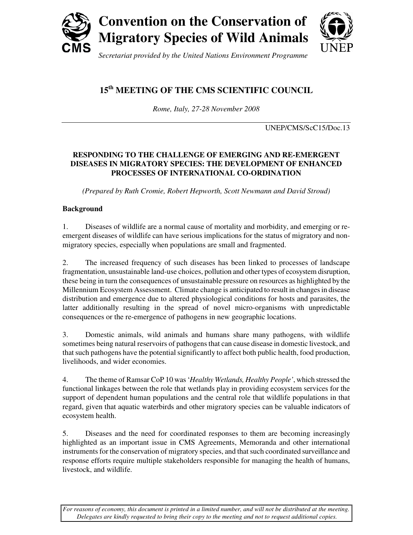

*Secretariat provided by the United Nations Environment Programme*

# **15th MEETING OF THE CMS SCIENTIFIC COUNCIL**

*Rome, Italy, 27-28 November 2008* 

UNEP/CMS/ScC15/Doc.13

# **RESPONDING TO THE CHALLENGE OF EMERGING AND RE-EMERGENT DISEASES IN MIGRATORY SPECIES: THE DEVELOPMENT OF ENHANCED PROCESSES OF INTERNATIONAL CO-ORDINATION**

*(Prepared by Ruth Cromie, Robert Hepworth, Scott Newmann and David Stroud)* 

# **Background**

1. Diseases of wildlife are a normal cause of mortality and morbidity, and emerging or reemergent diseases of wildlife can have serious implications for the status of migratory and nonmigratory species, especially when populations are small and fragmented.

2. The increased frequency of such diseases has been linked to processes of landscape fragmentation, unsustainable land-use choices, pollution and other types of ecosystem disruption, these being in turn the consequences of unsustainable pressure on resources as highlighted by the Millennium Ecosystem Assessment. Climate change is anticipated to result in changes in disease distribution and emergence due to altered physiological conditions for hosts and parasites, the latter additionally resulting in the spread of novel micro-organisms with unpredictable consequences or the re-emergence of pathogens in new geographic locations.

3. Domestic animals, wild animals and humans share many pathogens, with wildlife sometimes being natural reservoirs of pathogens that can cause disease in domestic livestock, and that such pathogens have the potential significantly to affect both public health, food production, livelihoods, and wider economies.

4. The theme of Ramsar CoP 10 was '*Healthy Wetlands, Healthy People'*, which stressed the functional linkages between the role that wetlands play in providing ecosystem services for the support of dependent human populations and the central role that wildlife populations in that regard, given that aquatic waterbirds and other migratory species can be valuable indicators of ecosystem health.

5. Diseases and the need for coordinated responses to them are becoming increasingly highlighted as an important issue in CMS Agreements, Memoranda and other international instruments for the conservation of migratory species, and that such coordinated surveillance and response efforts require multiple stakeholders responsible for managing the health of humans, livestock, and wildlife.

*For reasons of economy, this document is printed in a limited number, and will not be distributed at the meeting. Delegates are kindly requested to bring their copy to the meeting and not to request additional copies.*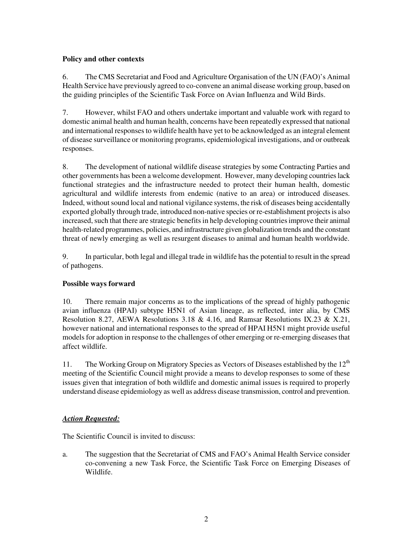## **Policy and other contexts**

6. The CMS Secretariat and Food and Agriculture Organisation of the UN (FAO)'s Animal Health Service have previously agreed to co-convene an animal disease working group, based on the guiding principles of the Scientific Task Force on Avian Influenza and Wild Birds.

7. However, whilst FAO and others undertake important and valuable work with regard to domestic animal health and human health, concerns have been repeatedly expressed that national and international responses to wildlife health have yet to be acknowledged as an integral element of disease surveillance or monitoring programs, epidemiological investigations, and or outbreak responses.

8. The development of national wildlife disease strategies by some Contracting Parties and other governments has been a welcome development. However, many developing countries lack functional strategies and the infrastructure needed to protect their human health, domestic agricultural and wildlife interests from endemic (native to an area) or introduced diseases. Indeed, without sound local and national vigilance systems, the risk of diseases being accidentally exported globally through trade, introduced non-native species or re-establishment projects is also increased, such that there are strategic benefits in help developing countries improve their animal health-related programmes, policies, and infrastructure given globalization trends and the constant threat of newly emerging as well as resurgent diseases to animal and human health worldwide.

9. In particular, both legal and illegal trade in wildlife has the potential to result in the spread of pathogens.

## **Possible ways forward**

10. There remain major concerns as to the implications of the spread of highly pathogenic avian influenza (HPAI) subtype H5N1 of Asian lineage, as reflected, inter alia, by CMS Resolution 8.27, AEWA Resolutions 3.18 & 4.16, and Ramsar Resolutions IX.23 & X.21, however national and international responses to the spread of HPAI H5N1 might provide useful models for adoption in response to the challenges of other emerging or re-emerging diseases that affect wildlife.

11. The Working Group on Migratory Species as Vectors of Diseases established by the 12<sup>th</sup> meeting of the Scientific Council might provide a means to develop responses to some of these issues given that integration of both wildlife and domestic animal issues is required to properly understand disease epidemiology as well as address disease transmission, control and prevention.

## *Action Requested:*

The Scientific Council is invited to discuss:

a. The suggestion that the Secretariat of CMS and FAO's Animal Health Service consider co-convening a new Task Force, the Scientific Task Force on Emerging Diseases of Wildlife.